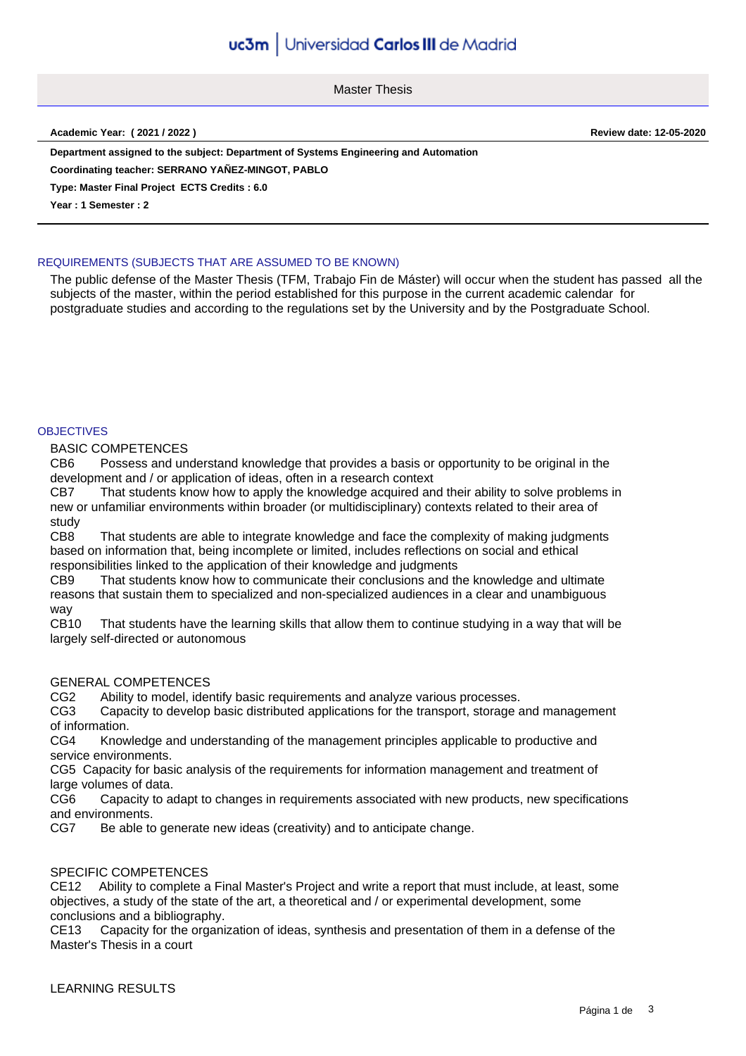# uc3m Universidad Carlos III de Madrid

Master Thesis

**Academic Year: ( 2021 / 2022 ) Review date: 12-05-2020**

**Department assigned to the subject: Department of Systems Engineering and Automation**

**Coordinating teacher: SERRANO YAÑEZ-MINGOT, PABLO**

**Type: Master Final Project ECTS Credits : 6.0**

**Year : 1 Semester : 2**

## REQUIREMENTS (SUBJECTS THAT ARE ASSUMED TO BE KNOWN)

The public defense of the Master Thesis (TFM, Trabajo Fin de Máster) will occur when the student has passed all the subjects of the master, within the period established for this purpose in the current academic calendar for postgraduate studies and according to the regulations set by the University and by the Postgraduate School.

#### **OBJECTIVES**

BASIC COMPETENCES

CB6 Possess and understand knowledge that provides a basis or opportunity to be original in the development and / or application of ideas, often in a research context

CB7 That students know how to apply the knowledge acquired and their ability to solve problems in new or unfamiliar environments within broader (or multidisciplinary) contexts related to their area of study

CB8 That students are able to integrate knowledge and face the complexity of making judgments based on information that, being incomplete or limited, includes reflections on social and ethical responsibilities linked to the application of their knowledge and judgments

CB9 That students know how to communicate their conclusions and the knowledge and ultimate reasons that sustain them to specialized and non-specialized audiences in a clear and unambiguous way

CB10 That students have the learning skills that allow them to continue studying in a way that will be largely self-directed or autonomous

#### GENERAL COMPETENCES

CG2 Ability to model, identify basic requirements and analyze various processes.

CG3 Capacity to develop basic distributed applications for the transport, storage and management of information.

CG4 Knowledge and understanding of the management principles applicable to productive and service environments.

CG5 Capacity for basic analysis of the requirements for information management and treatment of large volumes of data.

CG6 Capacity to adapt to changes in requirements associated with new products, new specifications and environments.

CG7 Be able to generate new ideas (creativity) and to anticipate change.

## SPECIFIC COMPETENCES

CE12 Ability to complete a Final Master's Project and write a report that must include, at least, some objectives, a study of the state of the art, a theoretical and / or experimental development, some conclusions and a bibliography.

CE13 Capacity for the organization of ideas, synthesis and presentation of them in a defense of the Master's Thesis in a court

LEARNING RESULTS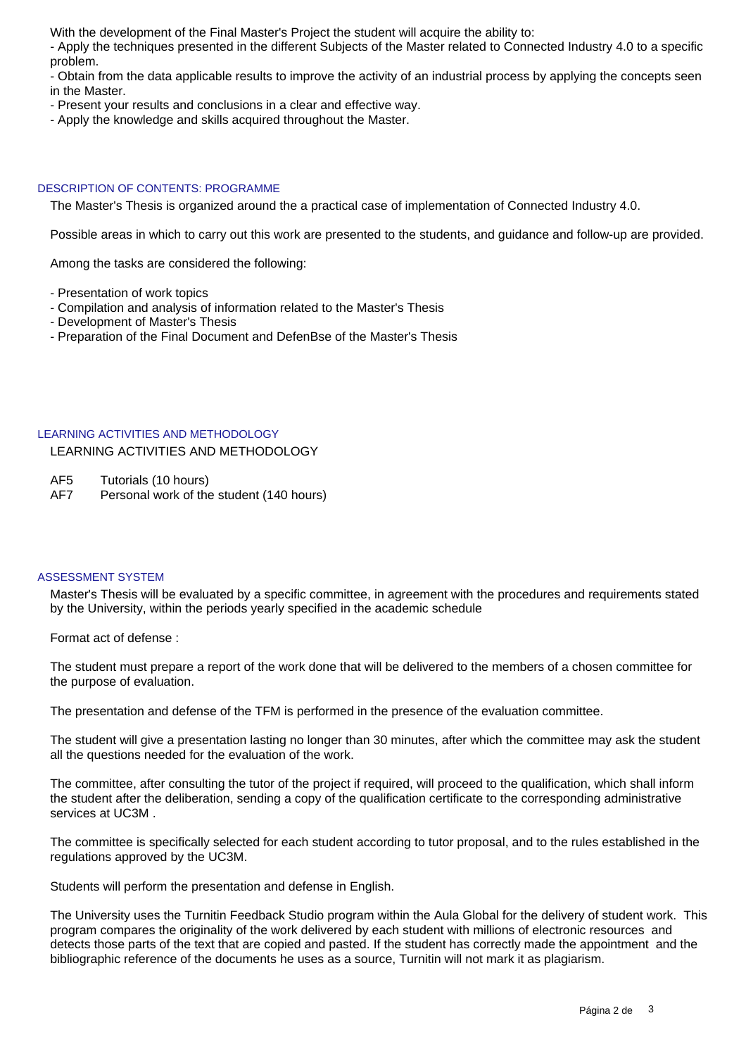With the development of the Final Master's Project the student will acquire the ability to:

- Apply the techniques presented in the different Subjects of the Master related to Connected Industry 4.0 to a specific problem.

- Obtain from the data applicable results to improve the activity of an industrial process by applying the concepts seen in the Master.

- Present your results and conclusions in a clear and effective way.
- Apply the knowledge and skills acquired throughout the Master.

## DESCRIPTION OF CONTENTS: PROGRAMME

The Master's Thesis is organized around the a practical case of implementation of Connected Industry 4.0.

Possible areas in which to carry out this work are presented to the students, and guidance and follow-up are provided.

Among the tasks are considered the following:

- Presentation of work topics
- Compilation and analysis of information related to the Master's Thesis
- Development of Master's Thesis
- Preparation of the Final Document and DefenBse of the Master's Thesis

## LEARNING ACTIVITIES AND METHODOLOGY

LEARNING ACTIVITIES AND METHODOLOGY

AF5 Tutorials (10 hours)

AF7 Personal work of the student (140 hours)

## ASSESSMENT SYSTEM

Master's Thesis will be evaluated by a specific committee, in agreement with the procedures and requirements stated by the University, within the periods yearly specified in the academic schedule

Format act of defense :

The student must prepare a report of the work done that will be delivered to the members of a chosen committee for the purpose of evaluation.

The presentation and defense of the TFM is performed in the presence of the evaluation committee.

The student will give a presentation lasting no longer than 30 minutes, after which the committee may ask the student all the questions needed for the evaluation of the work.

The committee, after consulting the tutor of the project if required, will proceed to the qualification, which shall inform the student after the deliberation, sending a copy of the qualification certificate to the corresponding administrative services at UC3M .

The committee is specifically selected for each student according to tutor proposal, and to the rules established in the regulations approved by the UC3M.

Students will perform the presentation and defense in English.

The University uses the Turnitin Feedback Studio program within the Aula Global for the delivery of student work. This program compares the originality of the work delivered by each student with millions of electronic resources and detects those parts of the text that are copied and pasted. If the student has correctly made the appointment and the bibliographic reference of the documents he uses as a source, Turnitin will not mark it as plagiarism.